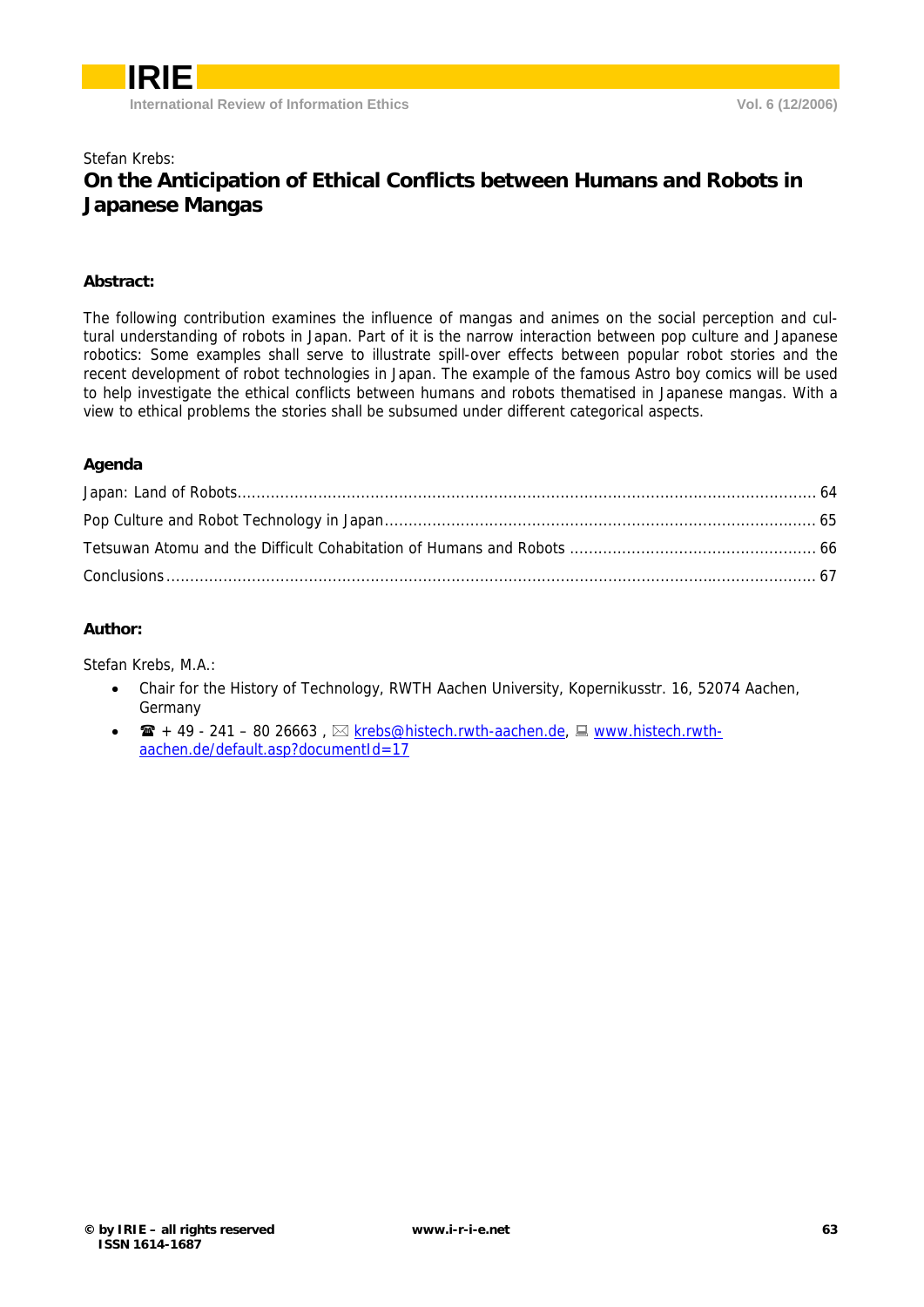### Stefan Krebs: **On the Anticipation of Ethical Conflicts between Humans and Robots in Japanese Mangas**

### **Abstract:**

The following contribution examines the influence of mangas and animes on the social perception and cultural understanding of robots in Japan. Part of it is the narrow interaction between pop culture and Japanese robotics: Some examples shall serve to illustrate spill-over effects between popular robot stories and the recent development of robot technologies in Japan. The example of the famous Astro boy comics will be used to help investigate the ethical conflicts between humans and robots thematised in Japanese mangas. With a view to ethical problems the stories shall be subsumed under different categorical aspects.

#### **Agenda**

### **Author:**

Stefan Krebs, M.A.:

- Chair for the History of Technology, RWTH Aachen University, Kopernikusstr. 16, 52074 Aachen, Germany
- $\mathbf{F}$  + 49 241 80 26663,  $\boxtimes$  krebs@histech.rwth-aachen.de,  $\boxplus$  www.histech.rwthaachen.de/default.asp?documentId=17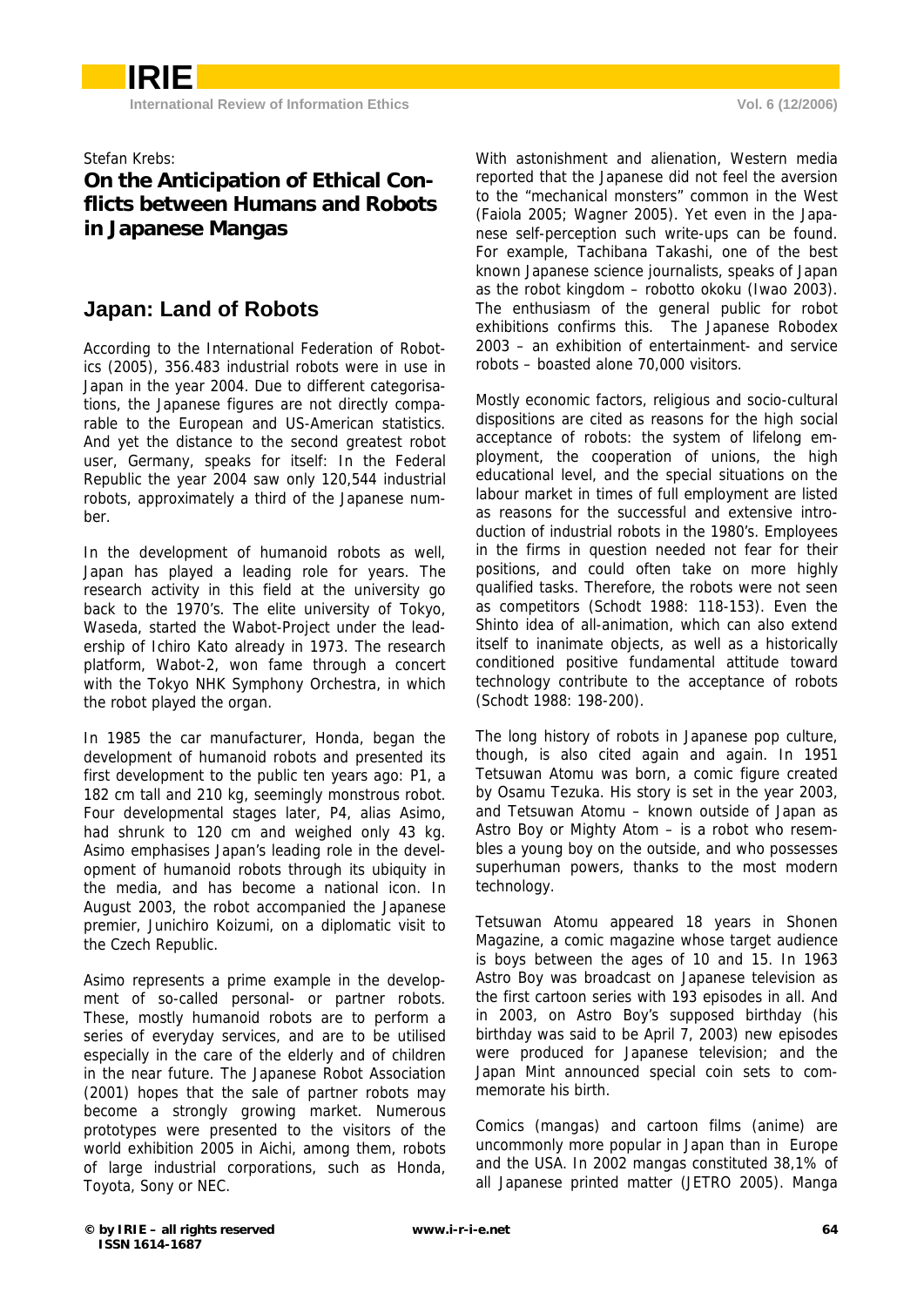Stefan Krebs:

## **On the Anticipation of Ethical Conflicts between Humans and Robots in Japanese Mangas**

## **Japan: Land of Robots**

According to the International Federation of Robotics (2005), 356.483 industrial robots were in use in Japan in the year 2004. Due to different categorisations, the Japanese figures are not directly comparable to the European and US-American statistics. And yet the distance to the second greatest robot user, Germany, speaks for itself: In the Federal Republic the year 2004 saw only 120,544 industrial robots, approximately a third of the Japanese number.

In the development of humanoid robots as well, Japan has played a leading role for years. The research activity in this field at the university go back to the 1970's. The elite university of Tokyo, Waseda, started the Wabot-Project under the leadership of Ichiro Kato already in 1973. The research platform, Wabot-2, won fame through a concert with the Tokyo NHK Symphony Orchestra, in which the robot played the organ.

In 1985 the car manufacturer, Honda, began the development of humanoid robots and presented its first development to the public ten years ago: P1, a 182 cm tall and 210 kg, seemingly monstrous robot. Four developmental stages later, P4, alias Asimo, had shrunk to 120 cm and weighed only 43 kg. Asimo emphasises Japan's leading role in the development of humanoid robots through its ubiquity in the media, and has become a national icon. In August 2003, the robot accompanied the Japanese premier, Junichiro Koizumi, on a diplomatic visit to the Czech Republic.

Asimo represents a prime example in the development of so-called personal- or partner robots. These, mostly humanoid robots are to perform a series of everyday services, and are to be utilised especially in the care of the elderly and of children in the near future. The Japanese Robot Association (2001) hopes that the sale of partner robots may become a strongly growing market. Numerous prototypes were presented to the visitors of the world exhibition 2005 in Aichi, among them, robots of large industrial corporations, such as Honda, Toyota, Sony or NEC.

With astonishment and alienation, Western media reported that the Japanese did not feel the aversion to the "mechanical monsters" common in the West (Faiola 2005; Wagner 2005). Yet even in the Japanese self-perception such write-ups can be found. For example, Tachibana Takashi, one of the best known Japanese science journalists, speaks of Japan as the robot kingdom – robotto okoku (Iwao 2003). The enthusiasm of the general public for robot exhibitions confirms this. The Japanese Robodex 2003 – an exhibition of entertainment- and service robots – boasted alone 70,000 visitors.

Mostly economic factors, religious and socio-cultural dispositions are cited as reasons for the high social acceptance of robots: the system of lifelong employment, the cooperation of unions, the high educational level, and the special situations on the labour market in times of full employment are listed as reasons for the successful and extensive introduction of industrial robots in the 1980's. Employees in the firms in question needed not fear for their positions, and could often take on more highly qualified tasks. Therefore, the robots were not seen as competitors (Schodt 1988: 118-153). Even the Shinto idea of all-animation, which can also extend itself to inanimate objects, as well as a historically conditioned positive fundamental attitude toward technology contribute to the acceptance of robots (Schodt 1988: 198-200).

The long history of robots in Japanese pop culture, though, is also cited again and again. In 1951 Tetsuwan Atomu was born, a comic figure created by Osamu Tezuka. His story is set in the year 2003, and Tetsuwan Atomu – known outside of Japan as Astro Boy or Mighty Atom – is a robot who resembles a young boy on the outside, and who possesses superhuman powers, thanks to the most modern technology.

Tetsuwan Atomu appeared 18 years in Shonen Magazine, a comic magazine whose target audience is boys between the ages of 10 and 15. In 1963 Astro Boy was broadcast on Japanese television as the first cartoon series with 193 episodes in all. And in 2003, on Astro Boy's supposed birthday (his birthday was said to be April 7, 2003) new episodes were produced for Japanese television; and the Japan Mint announced special coin sets to commemorate his birth.

Comics (mangas) and cartoon films (anime) are uncommonly more popular in Japan than in Europe and the USA. In 2002 mangas constituted 38,1% of all Japanese printed matter (JETRO 2005). Manga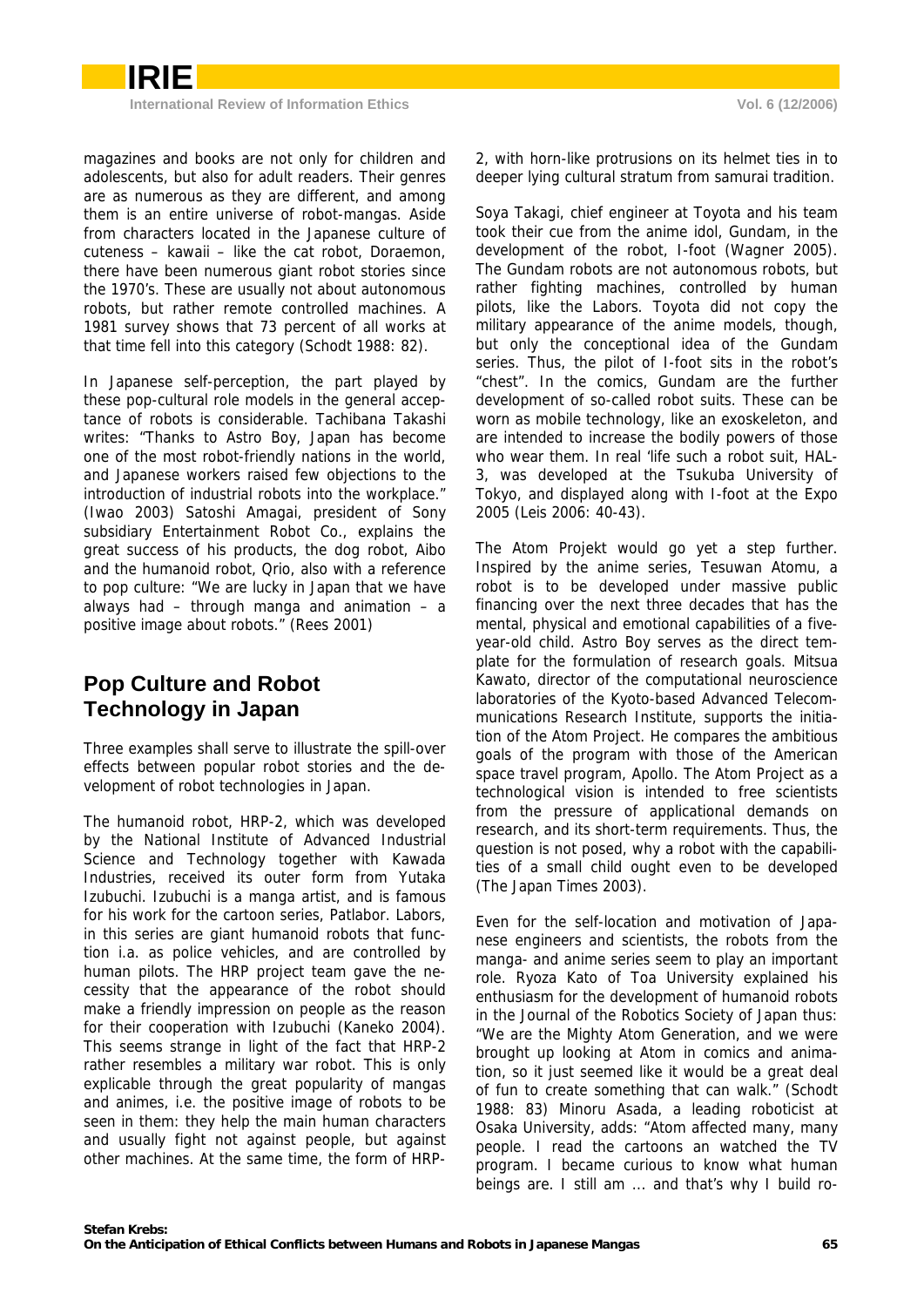

**International Review of Information Ethics Vol. 6 (12/2006)** 

magazines and books are not only for children and adolescents, but also for adult readers. Their genres are as numerous as they are different, and among them is an entire universe of robot-mangas. Aside from characters located in the Japanese culture of cuteness – kawaii – like the cat robot, Doraemon, there have been numerous giant robot stories since the 1970's. These are usually not about autonomous robots, but rather remote controlled machines. A 1981 survey shows that 73 percent of all works at that time fell into this category (Schodt 1988: 82).

In Japanese self-perception, the part played by these pop-cultural role models in the general acceptance of robots is considerable. Tachibana Takashi writes: "Thanks to Astro Boy, Japan has become one of the most robot-friendly nations in the world, and Japanese workers raised few objections to the introduction of industrial robots into the workplace." (Iwao 2003) Satoshi Amagai, president of Sony subsidiary Entertainment Robot Co., explains the great success of his products, the dog robot, Aibo and the humanoid robot, Qrio, also with a reference to pop culture: "We are lucky in Japan that we have always had – through manga and animation – a positive image about robots." (Rees 2001)

# **Pop Culture and Robot Technology in Japan**

Three examples shall serve to illustrate the spill-over effects between popular robot stories and the development of robot technologies in Japan.

The humanoid robot, HRP-2, which was developed by the National Institute of Advanced Industrial Science and Technology together with Kawada Industries, received its outer form from Yutaka Izubuchi. Izubuchi is a manga artist, and is famous for his work for the cartoon series, Patlabor. Labors, in this series are giant humanoid robots that function i.a. as police vehicles, and are controlled by human pilots. The HRP project team gave the necessity that the appearance of the robot should make a friendly impression on people as the reason for their cooperation with Izubuchi (Kaneko 2004). This seems strange in light of the fact that HRP-2 rather resembles a military war robot. This is only explicable through the great popularity of mangas and animes, i.e. the positive image of robots to be seen in them: they help the main human characters and usually fight not against people, but against other machines. At the same time, the form of HRP-

2, with horn-like protrusions on its helmet ties in to deeper lying cultural stratum from samurai tradition.

Soya Takagi, chief engineer at Toyota and his team took their cue from the anime idol, Gundam, in the development of the robot, I-foot (Wagner 2005). The Gundam robots are not autonomous robots, but rather fighting machines, controlled by human pilots, like the Labors. Toyota did not copy the military appearance of the anime models, though, but only the conceptional idea of the Gundam series. Thus, the pilot of I-foot sits in the robot's "chest". In the comics, Gundam are the further development of so-called robot suits. These can be worn as mobile technology, like an exoskeleton, and are intended to increase the bodily powers of those who wear them. In real 'life such a robot suit, HAL-3, was developed at the Tsukuba University of Tokyo, and displayed along with I-foot at the Expo 2005 (Leis 2006: 40-43).

The Atom Projekt would go yet a step further. Inspired by the anime series, Tesuwan Atomu, a robot is to be developed under massive public financing over the next three decades that has the mental, physical and emotional capabilities of a fiveyear-old child. Astro Boy serves as the direct template for the formulation of research goals. Mitsua Kawato, director of the computational neuroscience laboratories of the Kyoto-based Advanced Telecommunications Research Institute, supports the initiation of the Atom Project. He compares the ambitious goals of the program with those of the American space travel program, Apollo. The Atom Project as a technological vision is intended to free scientists from the pressure of applicational demands on research, and its short-term requirements. Thus, the question is not posed, why a robot with the capabilities of a small child ought even to be developed (The Japan Times 2003).

Even for the self-location and motivation of Japanese engineers and scientists, the robots from the manga- and anime series seem to play an important role. Ryoza Kato of Toa University explained his enthusiasm for the development of humanoid robots in the Journal of the Robotics Society of Japan thus: "We are the Mighty Atom Generation, and we were brought up looking at Atom in comics and animation, so it just seemed like it would be a great deal of fun to create something that can walk." (Schodt 1988: 83) Minoru Asada, a leading roboticist at Osaka University, adds: "Atom affected many, many people. I read the cartoons an watched the TV program. I became curious to know what human beings are. I still am ... and that's why I build ro-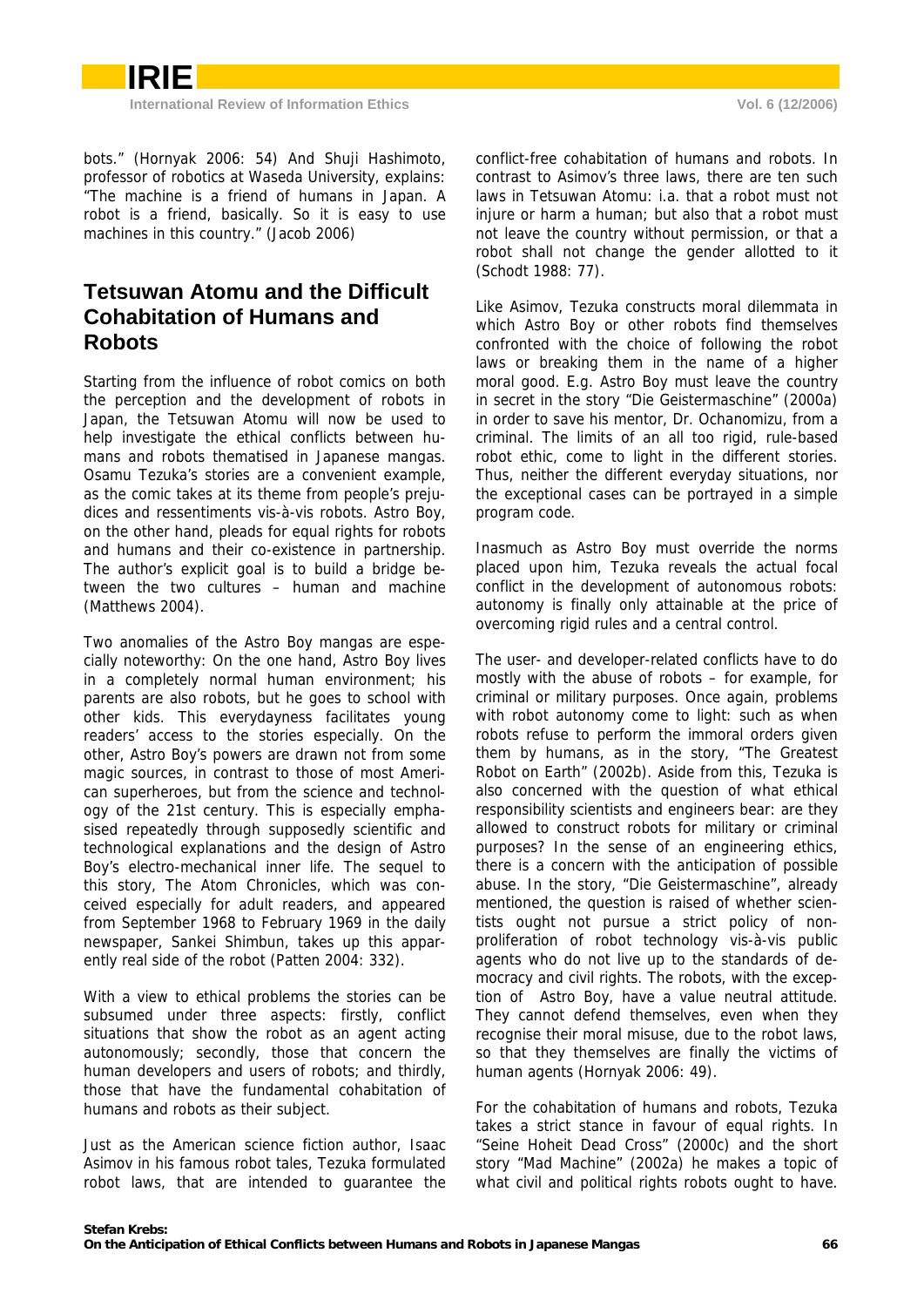bots." (Hornyak 2006: 54) And Shuji Hashimoto, professor of robotics at Waseda University, explains: "The machine is a friend of humans in Japan. A robot is a friend, basically. So it is easy to use machines in this country." (Jacob 2006)

### **Tetsuwan Atomu and the Difficult Cohabitation of Humans and Robots**

Starting from the influence of robot comics on both the perception and the development of robots in Japan, the Tetsuwan Atomu will now be used to help investigate the ethical conflicts between humans and robots thematised in Japanese mangas. Osamu Tezuka's stories are a convenient example, as the comic takes at its theme from people's prejudices and ressentiments vis-à-vis robots. Astro Boy, on the other hand, pleads for equal rights for robots and humans and their co-existence in partnership. The author's explicit goal is to build a bridge between the two cultures – human and machine (Matthews 2004).

Two anomalies of the Astro Boy mangas are especially noteworthy: On the one hand, Astro Boy lives in a completely normal human environment; his parents are also robots, but he goes to school with other kids. This everydayness facilitates young readers' access to the stories especially. On the other, Astro Boy's powers are drawn not from some magic sources, in contrast to those of most American superheroes, but from the science and technology of the 21st century. This is especially emphasised repeatedly through supposedly scientific and technological explanations and the design of Astro Boy's electro-mechanical inner life. The sequel to this story, The Atom Chronicles, which was conceived especially for adult readers, and appeared from September 1968 to February 1969 in the daily newspaper, Sankei Shimbun, takes up this apparently real side of the robot (Patten 2004: 332).

With a view to ethical problems the stories can be subsumed under three aspects: firstly, conflict situations that show the robot as an agent acting autonomously; secondly, those that concern the human developers and users of robots; and thirdly, those that have the fundamental cohabitation of humans and robots as their subject.

Just as the American science fiction author, Isaac Asimov in his famous robot tales, Tezuka formulated robot laws, that are intended to guarantee the

conflict-free cohabitation of humans and robots. In contrast to Asimov's three laws, there are ten such laws in Tetsuwan Atomu: i.a. that a robot must not injure or harm a human; but also that a robot must not leave the country without permission, or that a robot shall not change the gender allotted to it (Schodt 1988: 77).

Like Asimov, Tezuka constructs moral dilemmata in which Astro Boy or other robots find themselves confronted with the choice of following the robot laws or breaking them in the name of a higher moral good. E.g. Astro Boy must leave the country in secret in the story "Die Geistermaschine" (2000a) in order to save his mentor, Dr. Ochanomizu, from a criminal. The limits of an all too rigid, rule-based robot ethic, come to light in the different stories. Thus, neither the different everyday situations, nor the exceptional cases can be portrayed in a simple program code.

Inasmuch as Astro Boy must override the norms placed upon him, Tezuka reveals the actual focal conflict in the development of autonomous robots: autonomy is finally only attainable at the price of overcoming rigid rules and a central control.

The user- and developer-related conflicts have to do mostly with the abuse of robots – for example, for criminal or military purposes. Once again, problems with robot autonomy come to light: such as when robots refuse to perform the immoral orders given them by humans, as in the story, "The Greatest Robot on Earth" (2002b). Aside from this, Tezuka is also concerned with the question of what ethical responsibility scientists and engineers bear: are they allowed to construct robots for military or criminal purposes? In the sense of an engineering ethics, there is a concern with the anticipation of possible abuse. In the story, "Die Geistermaschine", already mentioned, the question is raised of whether scientists ought not pursue a strict policy of nonproliferation of robot technology vis-à-vis public agents who do not live up to the standards of democracy and civil rights. The robots, with the exception of Astro Boy, have a value neutral attitude. They cannot defend themselves, even when they recognise their moral misuse, due to the robot laws, so that they themselves are finally the victims of human agents (Hornyak 2006: 49).

For the cohabitation of humans and robots, Tezuka takes a strict stance in favour of equal rights. In "Seine Hoheit Dead Cross" (2000c) and the short story "Mad Machine" (2002a) he makes a topic of what civil and political rights robots ought to have.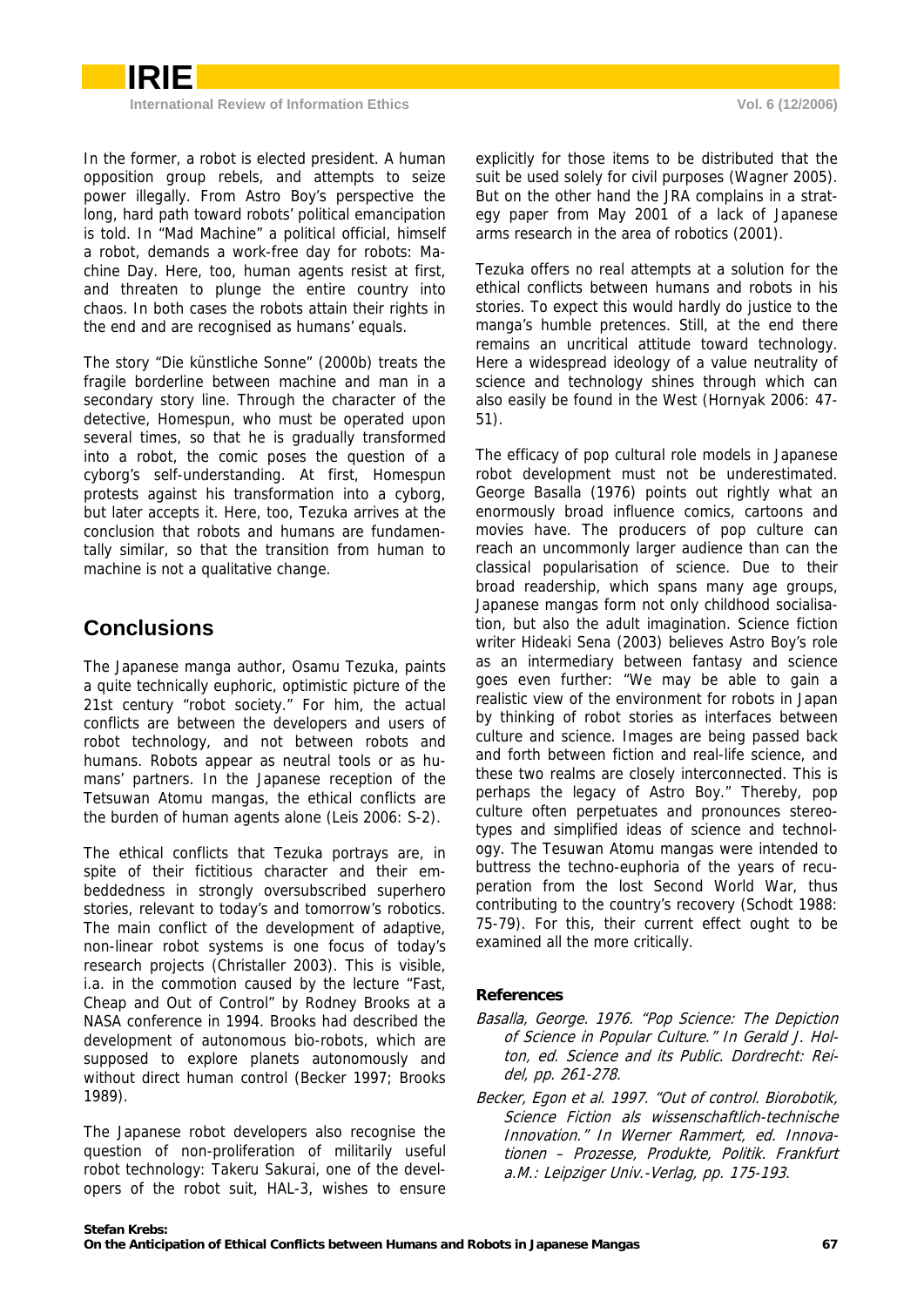

In the former, a robot is elected president. A human opposition group rebels, and attempts to seize power illegally. From Astro Boy's perspective the long, hard path toward robots' political emancipation is told. In "Mad Machine" a political official, himself a robot, demands a work-free day for robots: Machine Day. Here, too, human agents resist at first, and threaten to plunge the entire country into chaos. In both cases the robots attain their rights in the end and are recognised as humans' equals.

The story "Die künstliche Sonne" (2000b) treats the fragile borderline between machine and man in a secondary story line. Through the character of the detective, Homespun, who must be operated upon several times, so that he is gradually transformed into a robot, the comic poses the question of a cyborg's self-understanding. At first, Homespun protests against his transformation into a cyborg, but later accepts it. Here, too, Tezuka arrives at the conclusion that robots and humans are fundamentally similar, so that the transition from human to machine is not a qualitative change.

# **Conclusions**

The Japanese manga author, Osamu Tezuka, paints a quite technically euphoric, optimistic picture of the 21st century "robot society." For him, the actual conflicts are between the developers and users of robot technology, and not between robots and humans. Robots appear as neutral tools or as humans' partners. In the Japanese reception of the Tetsuwan Atomu mangas, the ethical conflicts are the burden of human agents alone (Leis 2006: S-2).

The ethical conflicts that Tezuka portrays are, in spite of their fictitious character and their embeddedness in strongly oversubscribed superhero stories, relevant to today's and tomorrow's robotics. The main conflict of the development of adaptive, non-linear robot systems is one focus of today's research projects (Christaller 2003). This is visible, i.a. in the commotion caused by the lecture "Fast, Cheap and Out of Control" by Rodney Brooks at a NASA conference in 1994. Brooks had described the development of autonomous bio-robots, which are supposed to explore planets autonomously and without direct human control (Becker 1997; Brooks 1989).

The Japanese robot developers also recognise the question of non-proliferation of militarily useful robot technology: Takeru Sakurai, one of the developers of the robot suit, HAL-3, wishes to ensure

explicitly for those items to be distributed that the suit be used solely for civil purposes (Wagner 2005). But on the other hand the JRA complains in a strategy paper from May 2001 of a lack of Japanese arms research in the area of robotics (2001).

Tezuka offers no real attempts at a solution for the ethical conflicts between humans and robots in his stories. To expect this would hardly do justice to the manga's humble pretences. Still, at the end there remains an uncritical attitude toward technology. Here a widespread ideology of a value neutrality of science and technology shines through which can also easily be found in the West (Hornyak 2006: 47- 51).

The efficacy of pop cultural role models in Japanese robot development must not be underestimated. George Basalla (1976) points out rightly what an enormously broad influence comics, cartoons and movies have. The producers of pop culture can reach an uncommonly larger audience than can the classical popularisation of science. Due to their broad readership, which spans many age groups, Japanese mangas form not only childhood socialisation, but also the adult imagination. Science fiction writer Hideaki Sena (2003) believes Astro Boy's role as an intermediary between fantasy and science goes even further: "We may be able to gain a realistic view of the environment for robots in Japan by thinking of robot stories as interfaces between culture and science. Images are being passed back and forth between fiction and real-life science, and these two realms are closely interconnected. This is perhaps the legacy of Astro Boy." Thereby, pop culture often perpetuates and pronounces stereotypes and simplified ideas of science and technology. The Tesuwan Atomu mangas were intended to buttress the techno-euphoria of the years of recuperation from the lost Second World War, thus contributing to the country's recovery (Schodt 1988: 75-79). For this, their current effect ought to be examined all the more critically.

### **References**

- Basalla, George. 1976. "Pop Science: The Depiction of Science in Popular Culture." In Gerald J. Holton, ed. Science and its Public. Dordrecht: Reidel, pp. 261-278.
- Becker, Egon et al. 1997. "Out of control. Biorobotik, Science Fiction als wissenschaftlich-technische Innovation." In Werner Rammert, ed. Innovationen – Prozesse, Produkte, Politik. Frankfurt a.M.: Leipziger Univ.-Verlag, pp. 175-193.